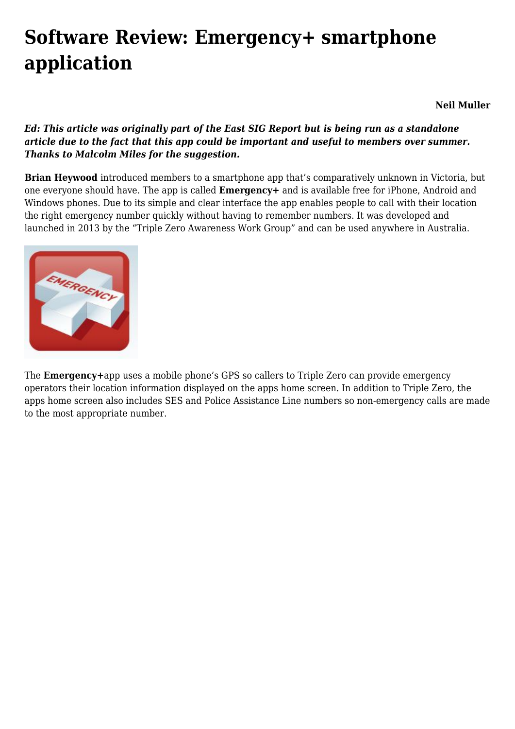## **[Software Review: Emergency+ smartphone](https://www.melbpc.org.au/software-review-emergency-smartphone-application/) [application](https://www.melbpc.org.au/software-review-emergency-smartphone-application/)**

**Neil Muller**

## *Ed: This article was originally part of the East SIG Report but is being run as a standalone article due to the fact that this app could be important and useful to members over summer. Thanks to Malcolm Miles for the suggestion.*

**Brian Heywood** introduced members to a smartphone app that's comparatively unknown in Victoria, but one everyone should have. The app is called **Emergency+** and is available free for iPhone, Android and Windows phones. Due to its simple and clear interface the app enables people to call with their location the right emergency number quickly without having to remember numbers. It was developed and launched in 2013 by the "Triple Zero Awareness Work Group" and can be used anywhere in Australia.



The **Emergency+**app uses a mobile phone's GPS so callers to Triple Zero can provide emergency operators their location information displayed on the apps home screen. In addition to Triple Zero, the apps home screen also includes SES and Police Assistance Line numbers so non-emergency calls are made to the most appropriate number.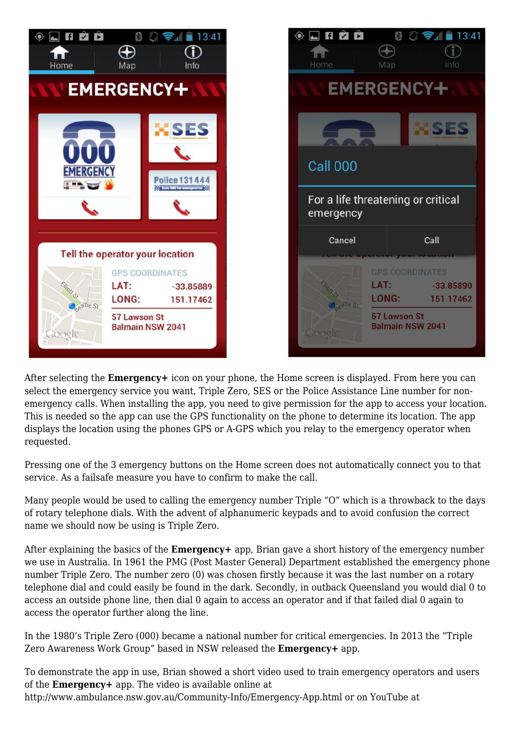



After selecting the **Emergency+** icon on your phone, the Home screen is displayed. From here you can select the emergency service you want, Triple Zero, SES or the Police Assistance Line number for nonemergency calls. When installing the app, you need to give permission for the app to access your location. This is needed so the app can use the GPS functionality on the phone to determine its location. The app displays the location using the phones GPS or A-GPS which you relay to the emergency operator when requested.

Pressing one of the 3 emergency buttons on the Home screen does not automatically connect you to that service. As a failsafe measure you have to confirm to make the call.

Many people would be used to calling the emergency number Triple "O" which is a throwback to the days of rotary telephone dials. With the advent of alphanumeric keypads and to avoid confusion the correct name we should now be using is Triple Zero.

After explaining the basics of the **Emergency+** app, Brian gave a short history of the emergency number we use in Australia. In 1961 the PMG (Post Master General) Department established the emergency phone number Triple Zero. The number zero (0) was chosen firstly because it was the last number on a rotary telephone dial and could easily be found in the dark. Secondly, in outback Queensland you would dial 0 to access an outside phone line, then dial 0 again to access an operator and if that failed dial 0 again to access the operator further along the line.

In the 1980's Triple Zero (000) became a national number for critical emergencies. In 2013 the "Triple Zero Awareness Work Group" based in NSW released the **Emergency+** app.

To demonstrate the app in use, Brian showed a short video used to train emergency operators and users of the **Emergency+** app. The video is available online at <http://www.ambulance.nsw.gov.au/Community-Info/Emergency-App.html>or on YouTube at